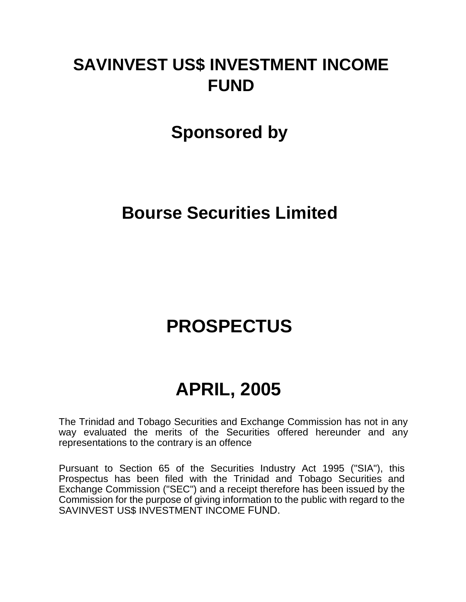# **SAVINVEST US\$ INVESTMENT INCOME FUND**

## **Sponsored by**

## **Bourse Securities Limited**

# **PROSPECTUS**

# **APRIL, 2005**

The Trinidad and Tobago Securities and Exchange Commission has not in any way evaluated the merits of the Securities offered hereunder and any representations to the contrary is an offence

Pursuant to Section 65 of the Securities Industry Act 1995 ("SIA"), this Prospectus has been filed with the Trinidad and Tobago Securities and Exchange Commission ("SEC") and a receipt therefore has been issued by the Commission for the purpose of giving information to the public with regard to the SAVINVEST US\$ INVESTMENT INCOME FUND.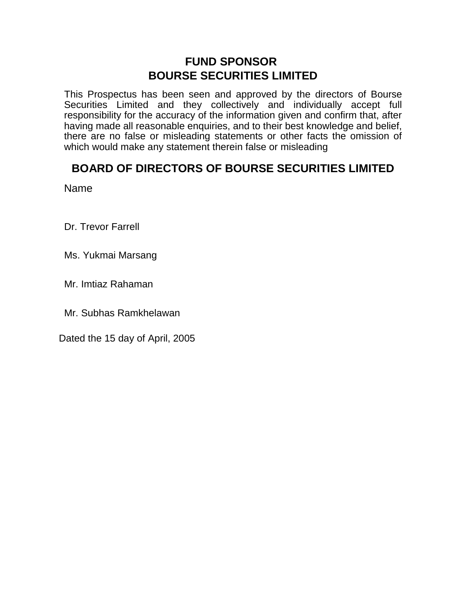## **FUND SPONSOR BOURSE SECURITIES LIMITED**

This Prospectus has been seen and approved by the directors of Bourse Securities Limited and they collectively and individually accept full responsibility for the accuracy of the information given and confirm that, after having made all reasonable enquiries, and to their best knowledge and belief, there are no false or misleading statements or other facts the omission of which would make any statement therein false or misleading

## **BOARD OF DIRECTORS OF BOURSE SECURITIES LIMITED**

Name

Dr. Trevor Farrell

Ms. Yukmai Marsang

Mr. Imtiaz Rahaman

Mr. Subhas Ramkhelawan

Dated the 15 day of April, 2005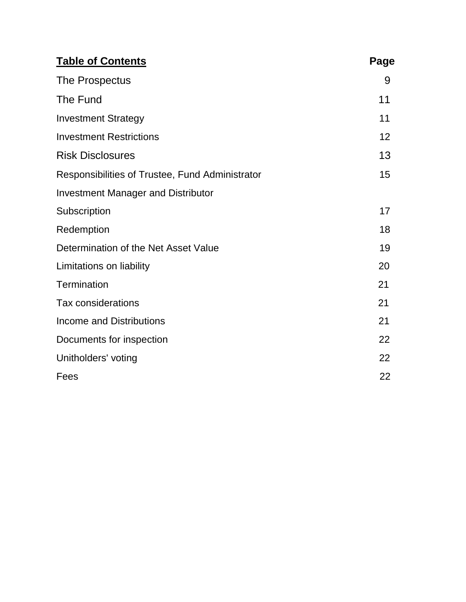| <b>Table of Contents</b>                        | Page |
|-------------------------------------------------|------|
| The Prospectus                                  | 9    |
| The Fund                                        | 11   |
| <b>Investment Strategy</b>                      | 11   |
| <b>Investment Restrictions</b>                  | 12   |
| <b>Risk Disclosures</b>                         | 13   |
| Responsibilities of Trustee, Fund Administrator | 15   |
| <b>Investment Manager and Distributor</b>       |      |
| Subscription                                    | 17   |
| Redemption                                      | 18   |
| Determination of the Net Asset Value            | 19   |
| Limitations on liability                        | 20   |
| Termination                                     | 21   |
| <b>Tax considerations</b>                       | 21   |
| <b>Income and Distributions</b>                 | 21   |
| Documents for inspection                        | 22   |
| Unitholders' voting                             | 22   |
| Fees                                            | 22   |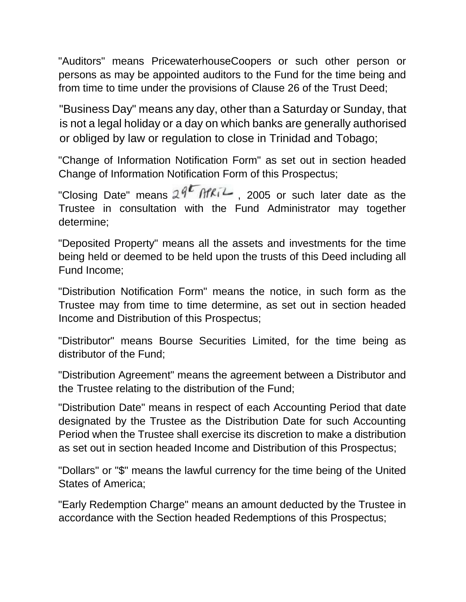"Auditors" means PricewaterhouseCoopers or such other person or persons as may be appointed auditors to the Fund for the time being and from time to time under the provisions of Clause 26 of the Trust Deed;

"Business Day" means any day, other than a Saturday or Sunday, that is not a legal holiday or a day on which banks are generally authorised or obliged by law or regulation to close in Trinidad and Tobago;

"Change of Information Notification Form" as set out in section headed Change of Information Notification Form of this Prospectus;

"Closing Date" means  $29^{\sqrt{5}}$  Afki<sup>2</sup>, 2005 or such later date as the Trustee in consultation with the Fund Administrator may together determine;

"Deposited Property" means all the assets and investments for the time being held or deemed to be held upon the trusts of this Deed including all Fund Income;

"Distribution Notification Form" means the notice, in such form as the Trustee may from time to time determine, as set out in section headed Income and Distribution of this Prospectus;

"Distributor" means Bourse Securities Limited, for the time being as distributor of the Fund;

"Distribution Agreement" means the agreement between a Distributor and the Trustee relating to the distribution of the Fund;

"Distribution Date" means in respect of each Accounting Period that date designated by the Trustee as the Distribution Date for such Accounting Period when the Trustee shall exercise its discretion to make a distribution as set out in section headed Income and Distribution of this Prospectus;

"Dollars" or "\$" means the lawful currency for the time being of the United States of America;

"Early Redemption Charge" means an amount deducted by the Trustee in accordance with the Section headed Redemptions of this Prospectus;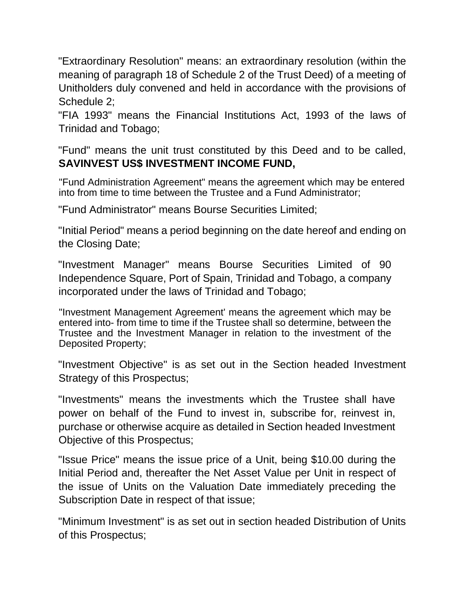"Extraordinary Resolution" means: an extraordinary resolution (within the meaning of paragraph 18 of Schedule 2 of the Trust Deed) of a meeting of Unitholders duly convened and held in accordance with the provisions of Schedule 2;

"FIA 1993" means the Financial Institutions Act, 1993 of the laws of Trinidad and Tobago;

"Fund" means the unit trust constituted by this Deed and to be called, **SAVINVEST US\$ INVESTMENT INCOME FUND,**

"Fund Administration Agreement" means the agreement which may be entered into from time to time between the Trustee and a Fund Administrator;

"Fund Administrator" means Bourse Securities Limited;

"Initial Period" means a period beginning on the date hereof and ending on the Closing Date;

"Investment Manager" means Bourse Securities Limited of 90 Independence Square, Port of Spain, Trinidad and Tobago, a company incorporated under the laws of Trinidad and Tobago;

"Investment Management Agreement' means the agreement which may be entered into- from time to time if the Trustee shall so determine, between the Trustee and the Investment Manager in relation to the investment of the Deposited Property;

"Investment Objective" is as set out in the Section headed Investment Strategy of this Prospectus;

"Investments" means the investments which the Trustee shall have power on behalf of the Fund to invest in, subscribe for, reinvest in, purchase or otherwise acquire as detailed in Section headed Investment Objective of this Prospectus;

"Issue Price" means the issue price of a Unit, being \$10.00 during the Initial Period and, thereafter the Net Asset Value per Unit in respect of the issue of Units on the Valuation Date immediately preceding the Subscription Date in respect of that issue;

"Minimum Investment" is as set out in section headed Distribution of Units of this Prospectus;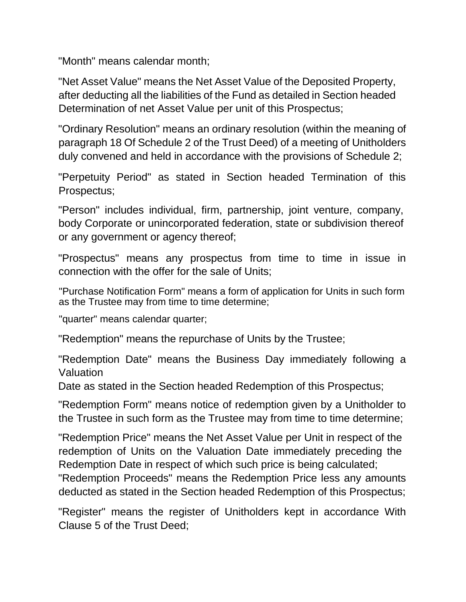"Month" means calendar month;

"Net Asset Value" means the Net Asset Value of the Deposited Property, after deducting all the liabilities of the Fund as detailed in Section headed Determination of net Asset Value per unit of this Prospectus;

"Ordinary Resolution" means an ordinary resolution (within the meaning of paragraph 18 Of Schedule 2 of the Trust Deed) of a meeting of Unitholders duly convened and held in accordance with the provisions of Schedule 2;

"Perpetuity Period" as stated in Section headed Termination of this Prospectus;

"Person" includes individual, firm, partnership, joint venture, company, body Corporate or unincorporated federation, state or subdivision thereof or any government or agency thereof;

"Prospectus" means any prospectus from time to time in issue in connection with the offer for the sale of Units;

"Purchase Notification Form" means a form of application for Units in such form as the Trustee may from time to time determine;

"quarter" means calendar quarter;

"Redemption" means the repurchase of Units by the Trustee;

"Redemption Date" means the Business Day immediately following a Valuation

Date as stated in the Section headed Redemption of this Prospectus;

"Redemption Form" means notice of redemption given by a Unitholder to the Trustee in such form as the Trustee may from time to time determine;

"Redemption Price" means the Net Asset Value per Unit in respect of the redemption of Units on the Valuation Date immediately preceding the Redemption Date in respect of which such price is being calculated;

"Redemption Proceeds" means the Redemption Price less any amounts deducted as stated in the Section headed Redemption of this Prospectus;

"Register" means the register of Unitholders kept in accordance With Clause 5 of the Trust Deed;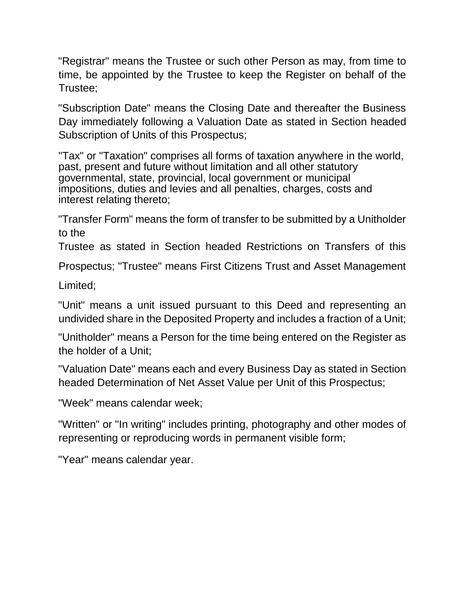"Registrar" means the Trustee or such other Person as may, from time to time, be appointed by the Trustee to keep the Register on behalf of the Trustee;

"Subscription Date" means the Closing Date and thereafter the Business Day immediately following a Valuation Date as stated in Section headed Subscription of Units of this Prospectus;

"Tax" or "Taxation" comprises all forms of taxation anywhere in the world, past, present and future without limitation and all other statutory governmental, state, provincial, local government or municipal impositions, duties and levies and all penalties, charges, costs and interest relating thereto;

"Transfer Form" means the form of transfer to be submitted by a Unitholder to the

Trustee as stated in Section headed Restrictions on Transfers of this

Prospectus; "Trustee" means First Citizens Trust and Asset Management

Limited;

"Unit" means a unit issued pursuant to this Deed and representing an undivided share in the Deposited Property and includes a fraction of a Unit;

"Unitholder" means a Person for the time being entered on the Register as the holder of a Unit;

"Valuation Date" means each and every Business Day as stated in Section headed Determination of Net Asset Value per Unit of this Prospectus;

"Week" means calendar week;

"Written" or "In writing" includes printing, photography and other modes of representing or reproducing words in permanent visible form;

"Year" means calendar year.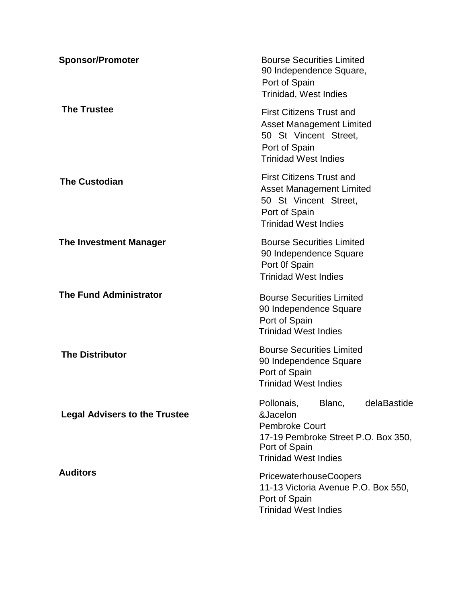| <b>Sponsor/Promoter</b>              | <b>Bourse Securities Limited</b><br>90 Independence Square,<br>Port of Spain<br>Trinidad, West Indies                                                           |
|--------------------------------------|-----------------------------------------------------------------------------------------------------------------------------------------------------------------|
| <b>The Trustee</b>                   | <b>First Citizens Trust and</b><br><b>Asset Management Limited</b><br>50 St Vincent Street.<br>Port of Spain<br><b>Trinidad West Indies</b>                     |
| <b>The Custodian</b>                 | <b>First Citizens Trust and</b><br><b>Asset Management Limited</b><br>50 St Vincent Street,<br>Port of Spain<br><b>Trinidad West Indies</b>                     |
| The Investment Manager               | <b>Bourse Securities Limited</b><br>90 Independence Square<br>Port Of Spain<br><b>Trinidad West Indies</b>                                                      |
| <b>The Fund Administrator</b>        | <b>Bourse Securities Limited</b><br>90 Independence Square<br>Port of Spain<br><b>Trinidad West Indies</b>                                                      |
| <b>The Distributor</b>               | <b>Bourse Securities Limited</b><br>90 Independence Square<br>Port of Spain<br><b>Trinidad West Indies</b>                                                      |
| <b>Legal Advisers to the Trustee</b> | Blanc,<br>delaBastide<br>Pollonais,<br>&Jacelon<br><b>Pembroke Court</b><br>17-19 Pembroke Street P.O. Box 350,<br>Port of Spain<br><b>Trinidad West Indies</b> |
| <b>Auditors</b>                      | <b>PricewaterhouseCoopers</b><br>11-13 Victoria Avenue P.O. Box 550,<br>Port of Spain<br><b>Trinidad West Indies</b>                                            |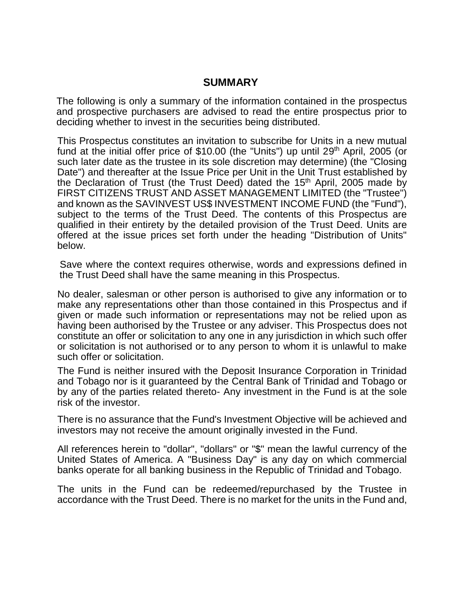### **SUMMARY**

The following is only a summary of the information contained in the prospectus and prospective purchasers are advised to read the entire prospectus prior to deciding whether to invest in the securities being distributed.

This Prospectus constitutes an invitation to subscribe for Units in a new mutual fund at the initial offer price of \$10.00 (the "Units") up until 29<sup>th</sup> April, 2005 (or such later date as the trustee in its sole discretion may determine) (the "Closing Date") and thereafter at the Issue Price per Unit in the Unit Trust established by the Declaration of Trust (the Trust Deed) dated the  $15<sup>th</sup>$  April, 2005 made by FIRST CITIZENS TRUST AND ASSET MANAGEMENT LIMITED (the "Trustee") and known as the SAVINVEST US\$ INVESTMENT INCOME FUND (the "Fund"), subject to the terms of the Trust Deed. The contents of this Prospectus are qualified in their entirety by the detailed provision of the Trust Deed. Units are offered at the issue prices set forth under the heading "Distribution of Units" below.

Save where the context requires otherwise, words and expressions defined in the Trust Deed shall have the same meaning in this Prospectus.

No dealer, salesman or other person is authorised to give any information or to make any representations other than those contained in this Prospectus and if given or made such information or representations may not be relied upon as having been authorised by the Trustee or any adviser. This Prospectus does not constitute an offer or solicitation to any one in any jurisdiction in which such offer or solicitation is not authorised or to any person to whom it is unlawful to make such offer or solicitation.

The Fund is neither insured with the Deposit Insurance Corporation in Trinidad and Tobago nor is it guaranteed by the Central Bank of Trinidad and Tobago or by any of the parties related thereto- Any investment in the Fund is at the sole risk of the investor.

There is no assurance that the Fund's Investment Objective will be achieved and investors may not receive the amount originally invested in the Fund.

All references herein to "dollar", "dollars" or "\$" mean the lawful currency of the United States of America. A "Business Day" is any day on which commercial banks operate for all banking business in the Republic of Trinidad and Tobago.

The units in the Fund can be redeemed/repurchased by the Trustee in accordance with the Trust Deed. There is no market for the units in the Fund and,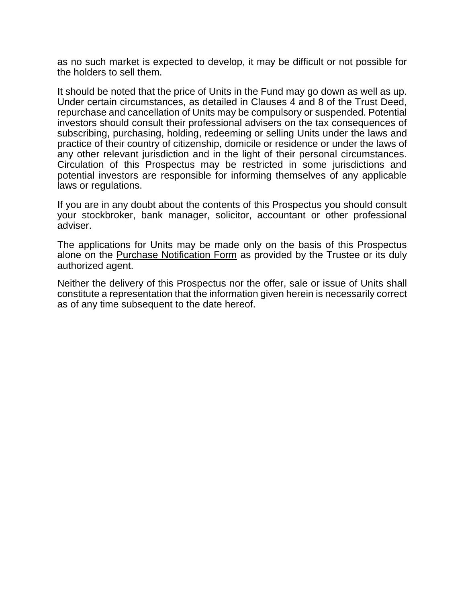as no such market is expected to develop, it may be difficult or not possible for the holders to sell them.

It should be noted that the price of Units in the Fund may go down as well as up. Under certain circumstances, as detailed in Clauses 4 and 8 of the Trust Deed, repurchase and cancellation of Units may be compulsory or suspended. Potential investors should consult their professional advisers on the tax consequences of subscribing, purchasing, holding, redeeming or selling Units under the laws and practice of their country of citizenship, domicile or residence or under the laws of any other relevant jurisdiction and in the light of their personal circumstances. Circulation of this Prospectus may be restricted in some jurisdictions and potential investors are responsible for informing themselves of any applicable laws or regulations.

If you are in any doubt about the contents of this Prospectus you should consult your stockbroker, bank manager, solicitor, accountant or other professional adviser.

The applications for Units may be made only on the basis of this Prospectus alone on the Purchase Notification Form as provided by the Trustee or its duly authorized agent.

Neither the delivery of this Prospectus nor the offer, sale or issue of Units shall constitute a representation that the information given herein is necessarily correct as of any time subsequent to the date hereof.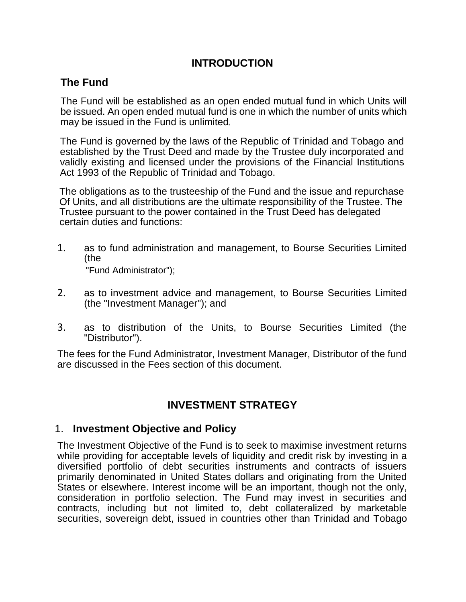## **INTRODUCTION**

## **The Fund**

The Fund will be established as an open ended mutual fund in which Units will be issued. An open ended mutual fund is one in which the number of units which may be issued in the Fund is unlimited

The Fund is governed by the laws of the Republic of Trinidad and Tobago and established by the Trust Deed and made by the Trustee duly incorporated and validly existing and licensed under the provisions of the Financial Institutions Act 1993 of the Republic of Trinidad and Tobago.

The obligations as to the trusteeship of the Fund and the issue and repurchase Of Units, and all distributions are the ultimate responsibility of the Trustee. The Trustee pursuant to the power contained in the Trust Deed has delegated certain duties and functions:

- 1. as to fund administration and management, to Bourse Securities Limited (the "Fund Administrator");
- 2. as to investment advice and management, to Bourse Securities Limited (the "Investment Manager"); and
- 3. as to distribution of the Units, to Bourse Securities Limited (the "Distributor").

The fees for the Fund Administrator, Investment Manager, Distributor of the fund are discussed in the Fees section of this document.

## **INVESTMENT STRATEGY**

## 1. **Investment Objective and Policy**

The Investment Objective of the Fund is to seek to maximise investment returns while providing for acceptable levels of liquidity and credit risk by investing in a diversified portfolio of debt securities instruments and contracts of issuers primarily denominated in United States dollars and originating from the United States or elsewhere. Interest income will be an important, though not the only, consideration in portfolio selection. The Fund may invest in securities and contracts, including but not limited to, debt collateralized by marketable securities, sovereign debt, issued in countries other than Trinidad and Tobago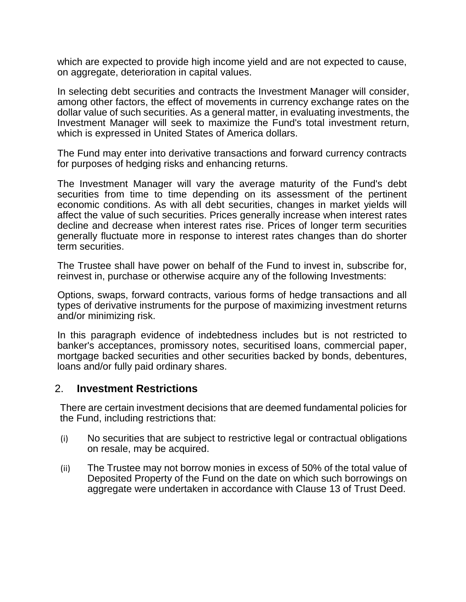which are expected to provide high income yield and are not expected to cause, on aggregate, deterioration in capital values.

In selecting debt securities and contracts the Investment Manager will consider, among other factors, the effect of movements in currency exchange rates on the dollar value of such securities. As a general matter, in evaluating investments, the Investment Manager will seek to maximize the Fund's total investment return, which is expressed in United States of America dollars.

The Fund may enter into derivative transactions and forward currency contracts for purposes of hedging risks and enhancing returns.

The Investment Manager will vary the average maturity of the Fund's debt securities from time to time depending on its assessment of the pertinent economic conditions. As with all debt securities, changes in market yields will affect the value of such securities. Prices generally increase when interest rates decline and decrease when interest rates rise. Prices of longer term securities generally fluctuate more in response to interest rates changes than do shorter term securities.

The Trustee shall have power on behalf of the Fund to invest in, subscribe for, reinvest in, purchase or otherwise acquire any of the following Investments:

Options, swaps, forward contracts, various forms of hedge transactions and all types of derivative instruments for the purpose of maximizing investment returns and/or minimizing risk.

In this paragraph evidence of indebtedness includes but is not restricted to banker's acceptances, promissory notes, securitised loans, commercial paper, mortgage backed securities and other securities backed by bonds, debentures, loans and/or fully paid ordinary shares.

#### 2. **Investment Restrictions**

There are certain investment decisions that are deemed fundamental policies for the Fund, including restrictions that:

- (i) No securities that are subject to restrictive legal or contractual obligations on resale, may be acquired.
- (ii) The Trustee may not borrow monies in excess of 50% of the total value of Deposited Property of the Fund on the date on which such borrowings on aggregate were undertaken in accordance with Clause 13 of Trust Deed.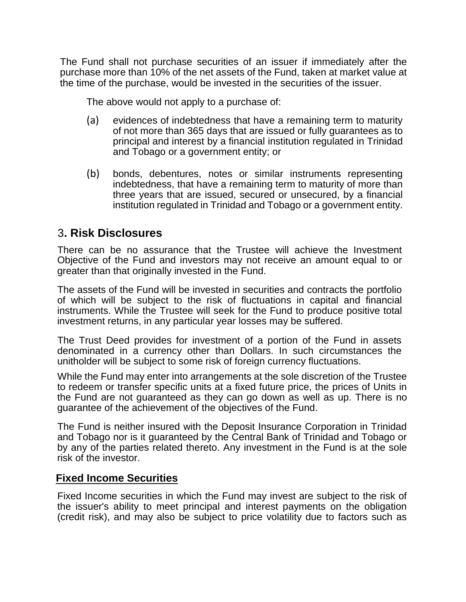The Fund shall not purchase securities of an issuer if immediately after the purchase more than 10% of the net assets of the Fund, taken at market value at the time of the purchase, would be invested in the securities of the issuer.

The above would not apply to a purchase of:

- (a) evidences of indebtedness that have a remaining term to maturity of not more than 365 days that are issued or fully guarantees as to principal and interest by a financial institution regulated in Trinidad and Tobago or a government entity; or
- (b) bonds, debentures, notes or similar instruments representing indebtedness, that have a remaining term to maturity of more than three years that are issued, secured or unsecured, by a financial institution regulated in Trinidad and Tobago or a government entity.

## 3**. Risk Disclosures**

There can be no assurance that the Trustee will achieve the Investment Objective of the Fund and investors may not receive an amount equal to or greater than that originally invested in the Fund.

The assets of the Fund will be invested in securities and contracts the portfolio of which will be subject to the risk of fluctuations in capital and financial instruments. While the Trustee will seek for the Fund to produce positive total investment returns, in any particular year losses may be suffered.

The Trust Deed provides for investment of a portion of the Fund in assets denominated in a currency other than Dollars. In such circumstances the unitholder will be subject to some risk of foreign currency fluctuations.

While the Fund may enter into arrangements at the sole discretion of the Trustee to redeem or transfer specific units at a fixed future price, the prices of Units in the Fund are not guaranteed as they can go down as well as up. There is no guarantee of the achievement of the objectives of the Fund.

The Fund is neither insured with the Deposit Insurance Corporation in Trinidad and Tobago nor is it guaranteed by the Central Bank of Trinidad and Tobago or by any of the parties related thereto. Any investment in the Fund is at the sole risk of the investor.

## **Fixed Income Securities**

Fixed Income securities in which the Fund may invest are subject to the risk of the issuer's ability to meet principal and interest payments on the obligation (credit risk), and may also be subject to price volatility due to factors such as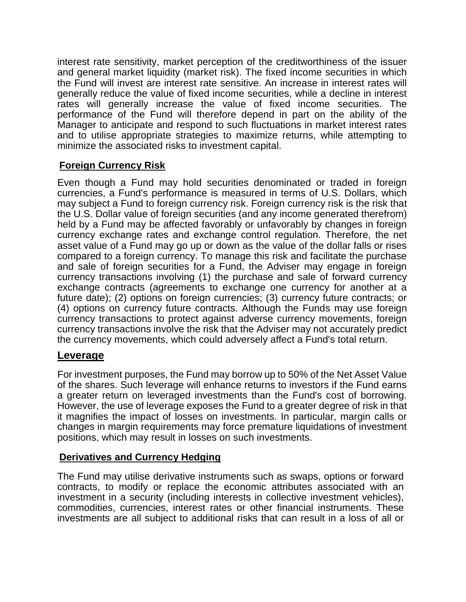interest rate sensitivity, market perception of the creditworthiness of the issuer and general market liquidity (market risk). The fixed income securities in which the Fund will invest are interest rate sensitive. An increase in interest rates will generally reduce the value of fixed income securities, while a decline in interest rates will generally increase the value of fixed income securities. The performance of the Fund will therefore depend in part on the ability of the Manager to anticipate and respond to such fluctuations in market interest rates and to utilise appropriate strategies to maximize returns, while attempting to minimize the associated risks to investment capital.

## **Foreign Currency Risk**

Even though a Fund may hold securities denominated or traded in foreign currencies, a Fund's performance is measured in terms of U.S. Dollars, which may subject a Fund to foreign currency risk. Foreign currency risk is the risk that the U.S. Dollar value of foreign securities (and any income generated therefrom) held by a Fund may be affected favorably or unfavorably by changes in foreign currency exchange rates and exchange control regulation. Therefore, the net asset value of a Fund may go up or down as the value of the dollar falls or rises compared to a foreign currency. To manage this risk and facilitate the purchase and sale of foreign securities for a Fund, the Adviser may engage in foreign currency transactions involving (1) the purchase and sale of forward currency exchange contracts (agreements to exchange one currency for another at a future date); (2) options on foreign currencies; (3) currency future contracts; or (4) options on currency future contracts. Although the Funds may use foreign currency transactions to protect against adverse currency movements, foreign currency transactions involve the risk that the Adviser may not accurately predict the currency movements, which could adversely affect a Fund's total return.

## **Leverage**

For investment purposes, the Fund may borrow up to 50% of the Net Asset Value of the shares. Such leverage will enhance returns to investors if the Fund earns a greater return on leveraged investments than the Fund's cost of borrowing. However, the use of leverage exposes the Fund to a greater degree of risk in that it magnifies the impact of losses on investments. In particular, margin calls or changes in margin requirements may force premature liquidations of investment positions, which may result in losses on such investments.

#### **Derivatives and Currency Hedging**

The Fund may utilise derivative instruments such as swaps, options or forward contracts, to modify or replace the economic attributes associated with an investment in a security (including interests in collective investment vehicles), commodities, currencies, interest rates or other financial instruments. These investments are all subject to additional risks that can result in a loss of all or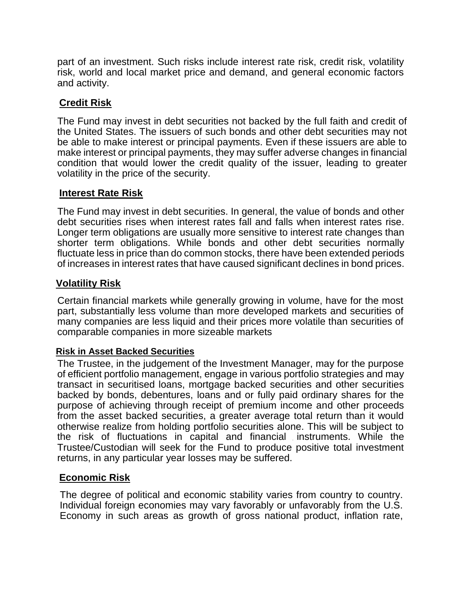part of an investment. Such risks include interest rate risk, credit risk, volatility risk, world and local market price and demand, and general economic factors and activity.

### **Credit Risk**

The Fund may invest in debt securities not backed by the full faith and credit of the United States. The issuers of such bonds and other debt securities may not be able to make interest or principal payments. Even if these issuers are able to make interest or principal payments, they may suffer adverse changes in financial condition that would lower the credit quality of the issuer, leading to greater volatility in the price of the security.

#### **Interest Rate Risk**

The Fund may invest in debt securities. In general, the value of bonds and other debt securities rises when interest rates fall and falls when interest rates rise. Longer term obligations are usually more sensitive to interest rate changes than shorter term obligations. While bonds and other debt securities normally fluctuate less in price than do common stocks, there have been extended periods of increases in interest rates that have caused significant declines in bond prices.

#### **Volatility Risk**

Certain financial markets while generally growing in volume, have for the most part, substantially less volume than more developed markets and securities of many companies are less liquid and their prices more volatile than securities of comparable companies in more sizeable markets

#### **Risk in Asset Backed Securities**

The Trustee, in the judgement of the Investment Manager, may for the purpose of efficient portfolio management, engage in various portfolio strategies and may transact in securitised loans, mortgage backed securities and other securities backed by bonds, debentures, loans and or fully paid ordinary shares for the purpose of achieving through receipt of premium income and other proceeds from the asset backed securities, a greater average total return than it would otherwise realize from holding portfolio securities alone. This will be subject to the risk of fluctuations in capital and financial instruments. While the Trustee/Custodian will seek for the Fund to produce positive total investment returns, in any particular year losses may be suffered.

#### **Economic Risk**

The degree of political and economic stability varies from country to country. Individual foreign economies may vary favorably or unfavorably from the U.S. Economy in such areas as growth of gross national product, inflation rate,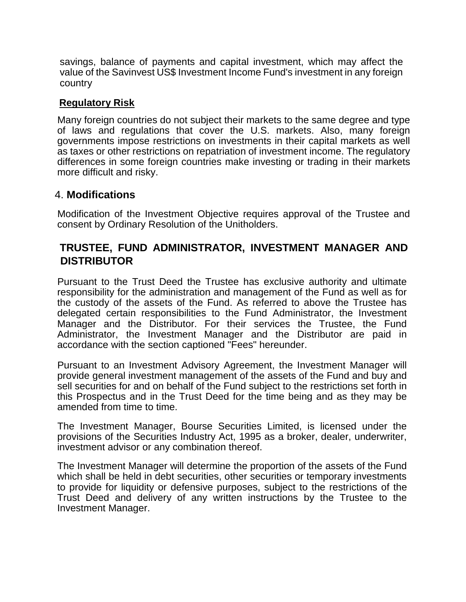savings, balance of payments and capital investment, which may affect the value of the Savinvest US\$ Investment Income Fund's investment in any foreign country

#### **Regulatory Risk**

Many foreign countries do not subject their markets to the same degree and type of laws and regulations that cover the U.S. markets. Also, many foreign governments impose restrictions on investments in their capital markets as well as taxes or other restrictions on repatriation of investment income. The regulatory differences in some foreign countries make investing or trading in their markets more difficult and risky.

### 4. **Modifications**

Modification of the Investment Objective requires approval of the Trustee and consent by Ordinary Resolution of the Unitholders.

## **TRUSTEE, FUND ADMINISTRATOR, INVESTMENT MANAGER AND DISTRIBUTOR**

Pursuant to the Trust Deed the Trustee has exclusive authority and ultimate responsibility for the administration and management of the Fund as well as for the custody of the assets of the Fund. As referred to above the Trustee has delegated certain responsibilities to the Fund Administrator, the Investment Manager and the Distributor. For their services the Trustee, the Fund Administrator, the Investment Manager and the Distributor are paid in accordance with the section captioned "Fees" hereunder.

Pursuant to an Investment Advisory Agreement, the Investment Manager will provide general investment management of the assets of the Fund and buy and sell securities for and on behalf of the Fund subject to the restrictions set forth in this Prospectus and in the Trust Deed for the time being and as they may be amended from time to time.

The Investment Manager, Bourse Securities Limited, is licensed under the provisions of the Securities Industry Act, 1995 as a broker, dealer, underwriter, investment advisor or any combination thereof.

The Investment Manager will determine the proportion of the assets of the Fund which shall be held in debt securities, other securities or temporary investments to provide for liquidity or defensive purposes, subject to the restrictions of the Trust Deed and delivery of any written instructions by the Trustee to the Investment Manager.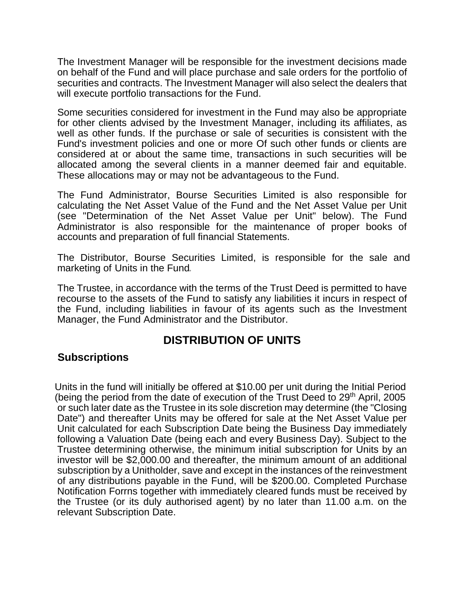The Investment Manager will be responsible for the investment decisions made on behalf of the Fund and will place purchase and sale orders for the portfolio of securities and contracts. The Investment Manager will also select the dealers that will execute portfolio transactions for the Fund.

Some securities considered for investment in the Fund may also be appropriate for other clients advised by the Investment Manager, including its affiliates, as well as other funds. If the purchase or sale of securities is consistent with the Fund's investment policies and one or more Of such other funds or clients are considered at or about the same time, transactions in such securities will be allocated among the several clients in a manner deemed fair and equitable. These allocations may or may not be advantageous to the Fund.

The Fund Administrator, Bourse Securities Limited is also responsible for calculating the Net Asset Value of the Fund and the Net Asset Value per Unit (see "Determination of the Net Asset Value per Unit" below). The Fund Administrator is also responsible for the maintenance of proper books of accounts and preparation of full financial Statements.

The Distributor, Bourse Securities Limited, is responsible for the sale and marketing of Units in the Fund

The Trustee, in accordance with the terms of the Trust Deed is permitted to have recourse to the assets of the Fund to satisfy any liabilities it incurs in respect of the Fund, including liabilities in favour of its agents such as the Investment Manager, the Fund Administrator and the Distributor.

## **DISTRIBUTION OF UNITS**

#### **Subscriptions**

Units in the fund will initially be offered at \$10.00 per unit during the Initial Period (being the period from the date of execution of the Trust Deed to  $29<sup>th</sup>$  April, 2005 or such later date as the Trustee in its sole discretion may determine (the "Closing Date") and thereafter Units may be offered for sale at the Net Asset Value per Unit calculated for each Subscription Date being the Business Day immediately following a Valuation Date (being each and every Business Day). Subject to the Trustee determining otherwise, the minimum initial subscription for Units by an investor will be \$2,000.00 and thereafter, the minimum amount of an additional subscription by a Unitholder, save and except in the instances of the reinvestment of any distributions payable in the Fund, will be \$200.00. Completed Purchase Notification Forrns together with immediately cleared funds must be received by the Trustee (or its duly authorised agent) by no later than 11.00 a.m. on the relevant Subscription Date.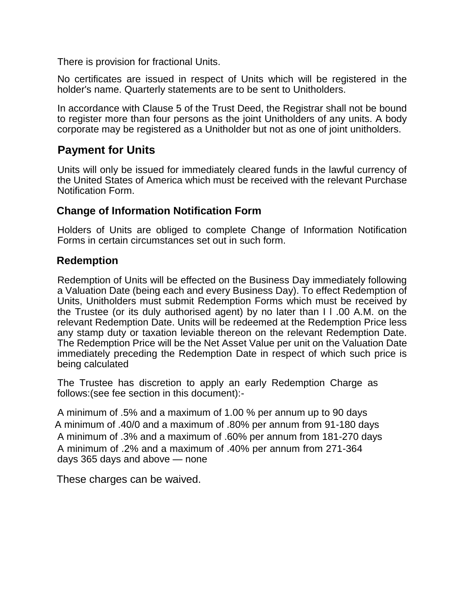There is provision for fractional Units.

No certificates are issued in respect of Units which will be registered in the holder's name. Quarterly statements are to be sent to Unitholders.

In accordance with Clause 5 of the Trust Deed, the Registrar shall not be bound to register more than four persons as the joint Unitholders of any units. A body corporate may be registered as a Unitholder but not as one of joint unitholders.

## **Payment for Units**

Units will only be issued for immediately cleared funds in the lawful currency of the United States of America which must be received with the relevant Purchase Notification Form.

## **Change of Information Notification Form**

Holders of Units are obliged to complete Change of Information Notification Forms in certain circumstances set out in such form.

## **Redemption**

Redemption of Units will be effected on the Business Day immediately following a Valuation Date (being each and every Business Day). To effect Redemption of Units, Unitholders must submit Redemption Forms which must be received by the Trustee (or its duly authorised agent) by no later than I l .00 A.M. on the relevant Redemption Date. Units will be redeemed at the Redemption Price less any stamp duty or taxation leviable thereon on the relevant Redemption Date. The Redemption Price will be the Net Asset Value per unit on the Valuation Date immediately preceding the Redemption Date in respect of which such price is being calculated

The Trustee has discretion to apply an early Redemption Charge as follows:(see fee section in this document):-

A minimum of .5% and a maximum of 1.00 % per annum up to 90 days A minimum of .40/0 and a maximum of .80% per annum from 91-180 days A minimum of .3% and a maximum of .60% per annum from 181-270 days A minimum of .2% and a maximum of .40% per annum from 271-364 days 365 days and above — none

These charges can be waived.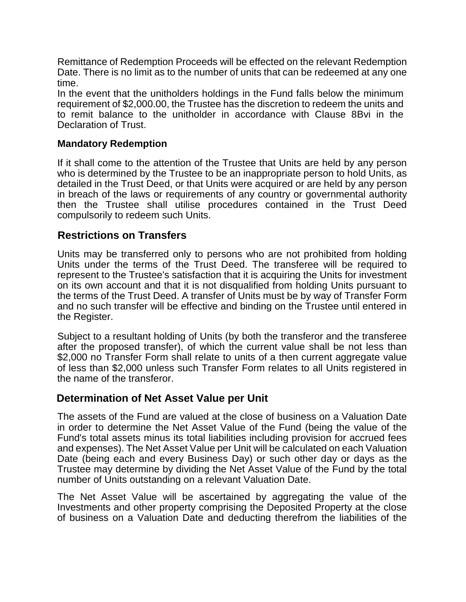Remittance of Redemption Proceeds will be effected on the relevant Redemption Date. There is no limit as to the number of units that can be redeemed at any one time.

In the event that the unitholders holdings in the Fund falls below the minimum requirement of \$2,000.00, the Trustee has the discretion to redeem the units and to remit balance to the unitholder in accordance with Clause 8Bvi in the Declaration of Trust.

#### **Mandatory Redemption**

If it shall come to the attention of the Trustee that Units are held by any person who is determined by the Trustee to be an inappropriate person to hold Units, as detailed in the Trust Deed, or that Units were acquired or are held by any person in breach of the laws or requirements of any country or governmental authority then the Trustee shall utilise procedures contained in the Trust Deed compulsorily to redeem such Units.

### **Restrictions on Transfers**

Units may be transferred only to persons who are not prohibited from holding Units under the terms of the Trust Deed. The transferee will be required to represent to the Trustee's satisfaction that it is acquiring the Units for investment on its own account and that it is not disqualified from holding Units pursuant to the terms of the Trust Deed. A transfer of Units must be by way of Transfer Form and no such transfer will be effective and binding on the Trustee until entered in the Register.

Subject to a resultant holding of Units (by both the transferor and the transferee after the proposed transfer), of which the current value shall be not less than \$2,000 no Transfer Form shall relate to units of a then current aggregate value of less than \$2,000 unless such Transfer Form relates to all Units registered in the name of the transferor.

#### **Determination of Net Asset Value per Unit**

The assets of the Fund are valued at the close of business on a Valuation Date in order to determine the Net Asset Value of the Fund (being the value of the Fund's total assets minus its total liabilities including provision for accrued fees and expenses). The Net Asset Value per Unit will be calculated on each Valuation Date (being each and every Business Day) or such other day or days as the Trustee may determine by dividing the Net Asset Value of the Fund by the total number of Units outstanding on a relevant Valuation Date.

The Net Asset Value will be ascertained by aggregating the value of the Investments and other property comprising the Deposited Property at the close of business on a Valuation Date and deducting therefrom the liabilities of the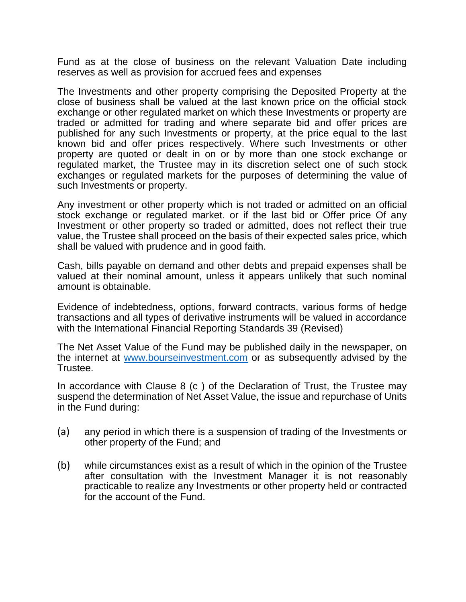Fund as at the close of business on the relevant Valuation Date including reserves as well as provision for accrued fees and expenses

The Investments and other property comprising the Deposited Property at the close of business shall be valued at the last known price on the official stock exchange or other regulated market on which these Investments or property are traded or admitted for trading and where separate bid and offer prices are published for any such Investments or property, at the price equal to the last known bid and offer prices respectively. Where such Investments or other property are quoted or dealt in on or by more than one stock exchange or regulated market, the Trustee may in its discretion select one of such stock exchanges or regulated markets for the purposes of determining the value of such Investments or property.

Any investment or other property which is not traded or admitted on an official stock exchange or regulated market. or if the last bid or Offer price Of any Investment or other property so traded or admitted, does not reflect their true value, the Trustee shall proceed on the basis of their expected sales price, which shall be valued with prudence and in good faith.

Cash, bills payable on demand and other debts and prepaid expenses shall be valued at their nominal amount, unless it appears unlikely that such nominal amount is obtainable.

Evidence of indebtedness, options, forward contracts, various forms of hedge transactions and all types of derivative instruments will be valued in accordance with the International Financial Reporting Standards 39 (Revised)

The Net Asset Value of the Fund may be published daily in the newspaper, on the internet at [www.bourseinvestment.com](mailto:https://bourseinvestment.com/) or as subsequently advised by the Trustee.

In accordance with Clause 8 (c ) of the Declaration of Trust, the Trustee may suspend the determination of Net Asset Value, the issue and repurchase of Units in the Fund during:

- (a) any period in which there is a suspension of trading of the Investments or other property of the Fund; and
- (b) while circumstances exist as a result of which in the opinion of the Trustee after consultation with the Investment Manager it is not reasonably practicable to realize any Investments or other property held or contracted for the account of the Fund.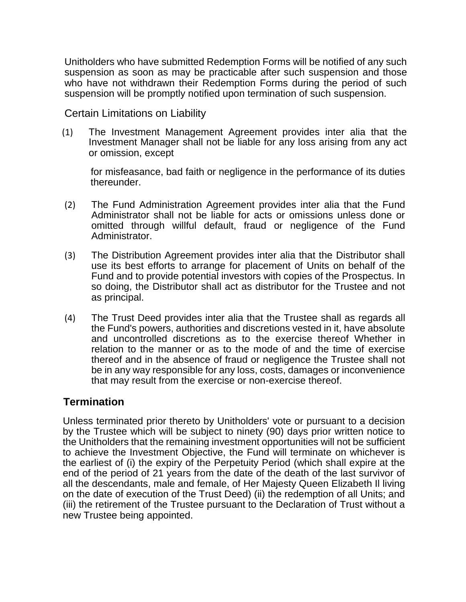Unitholders who have submitted Redemption Forms will be notified of any such suspension as soon as may be practicable after such suspension and those who have not withdrawn their Redemption Forms during the period of such suspension will be promptly notified upon termination of such suspension.

Certain Limitations on Liability

(1) The Investment Management Agreement provides inter alia that the Investment Manager shall not be liable for any loss arising from any act or omission, except

for misfeasance, bad faith or negligence in the performance of its duties thereunder.

- (2) The Fund Administration Agreement provides inter alia that the Fund Administrator shall not be liable for acts or omissions unless done or omitted through willful default, fraud or negligence of the Fund Administrator.
- (3) The Distribution Agreement provides inter alia that the Distributor shall use its best efforts to arrange for placement of Units on behalf of the Fund and to provide potential investors with copies of the Prospectus. In so doing, the Distributor shall act as distributor for the Trustee and not as principal.
- (4) The Trust Deed provides inter alia that the Trustee shall as regards all the Fund's powers, authorities and discretions vested in it, have absolute and uncontrolled discretions as to the exercise thereof Whether in relation to the manner or as to the mode of and the time of exercise thereof and in the absence of fraud or negligence the Trustee shall not be in any way responsible for any loss, costs, damages or inconvenience that may result from the exercise or non-exercise thereof.

## **Termination**

Unless terminated prior thereto by Unitholders' vote or pursuant to a decision by the Trustee which will be subject to ninety (90) days prior written notice to the Unitholders that the remaining investment opportunities will not be sufficient to achieve the Investment Objective, the Fund will terminate on whichever is the earliest of (i) the expiry of the Perpetuity Period (which shall expire at the end of the period of 21 years from the date of the death of the last survivor of all the descendants, male and female, of Her Majesty Queen Elizabeth Il living on the date of execution of the Trust Deed) (ii) the redemption of all Units; and (iii) the retirement of the Trustee pursuant to the Declaration of Trust without a new Trustee being appointed.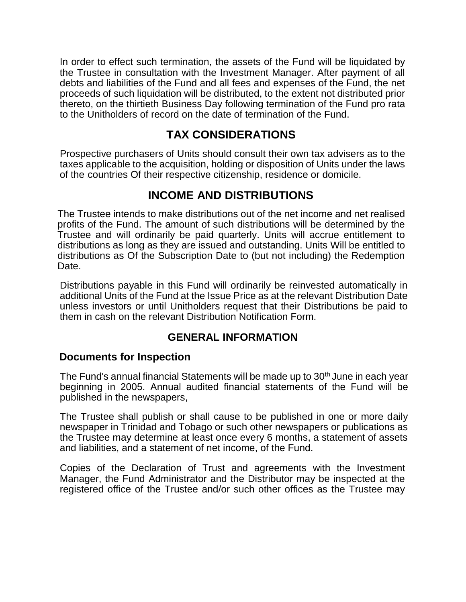In order to effect such termination, the assets of the Fund will be liquidated by the Trustee in consultation with the Investment Manager. After payment of all debts and liabilities of the Fund and all fees and expenses of the Fund, the net proceeds of such liquidation will be distributed, to the extent not distributed prior thereto, on the thirtieth Business Day following termination of the Fund pro rata to the Unitholders of record on the date of termination of the Fund.

## **TAX CONSIDERATIONS**

Prospective purchasers of Units should consult their own tax advisers as to the taxes applicable to the acquisition, holding or disposition of Units under the laws of the countries Of their respective citizenship, residence or domicile.

## **INCOME AND DISTRIBUTIONS**

The Trustee intends to make distributions out of the net income and net realised profits of the Fund. The amount of such distributions will be determined by the Trustee and will ordinarily be paid quarterly. Units will accrue entitlement to distributions as long as they are issued and outstanding. Units Will be entitled to distributions as Of the Subscription Date to (but not including) the Redemption Date.

Distributions payable in this Fund will ordinarily be reinvested automatically in additional Units of the Fund at the Issue Price as at the relevant Distribution Date unless investors or until Unitholders request that their Distributions be paid to them in cash on the relevant Distribution Notification Form.

## **GENERAL INFORMATION**

## **Documents for Inspection**

The Fund's annual financial Statements will be made up to 30<sup>th</sup> June in each year beginning in 2005. Annual audited financial statements of the Fund will be published in the newspapers,

The Trustee shall publish or shall cause to be published in one or more daily newspaper in Trinidad and Tobago or such other newspapers or publications as the Trustee may determine at least once every 6 months, a statement of assets and liabilities, and a statement of net income, of the Fund.

Copies of the Declaration of Trust and agreements with the Investment Manager, the Fund Administrator and the Distributor may be inspected at the registered office of the Trustee and/or such other offices as the Trustee may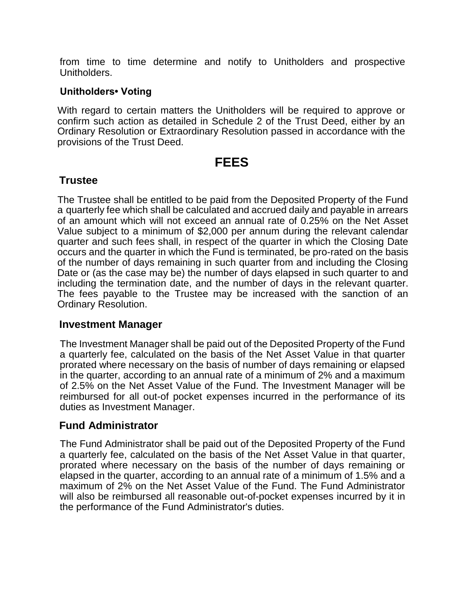from time to time determine and notify to Unitholders and prospective Unitholders.

#### **Unitholders• Voting**

With regard to certain matters the Unitholders will be required to approve or confirm such action as detailed in Schedule 2 of the Trust Deed, either by an Ordinary Resolution or Extraordinary Resolution passed in accordance with the provisions of the Trust Deed.

## **FEES**

#### **Trustee**

The Trustee shall be entitled to be paid from the Deposited Property of the Fund a quarterly fee which shall be calculated and accrued daily and payable in arrears of an amount which will not exceed an annual rate of 0.25% on the Net Asset Value subject to a minimum of \$2,000 per annum during the relevant calendar quarter and such fees shall, in respect of the quarter in which the Closing Date occurs and the quarter in which the Fund is terminated, be pro-rated on the basis of the number of days remaining in such quarter from and including the Closing Date or (as the case may be) the number of days elapsed in such quarter to and including the termination date, and the number of days in the relevant quarter. The fees payable to the Trustee may be increased with the sanction of an Ordinary Resolution.

#### **Investment Manager**

The Investment Manager shall be paid out of the Deposited Property of the Fund a quarterly fee, calculated on the basis of the Net Asset Value in that quarter prorated where necessary on the basis of number of days remaining or elapsed in the quarter, according to an annual rate of a minimum of 2% and a maximum of 2.5% on the Net Asset Value of the Fund. The Investment Manager will be reimbursed for all out-of pocket expenses incurred in the performance of its duties as Investment Manager.

## **Fund Administrator**

The Fund Administrator shall be paid out of the Deposited Property of the Fund a quarterly fee, calculated on the basis of the Net Asset Value in that quarter, prorated where necessary on the basis of the number of days remaining or elapsed in the quarter, according to an annual rate of a minimum of 1.5% and a maximum of 2% on the Net Asset Value of the Fund. The Fund Administrator will also be reimbursed all reasonable out-of-pocket expenses incurred by it in the performance of the Fund Administrator's duties.